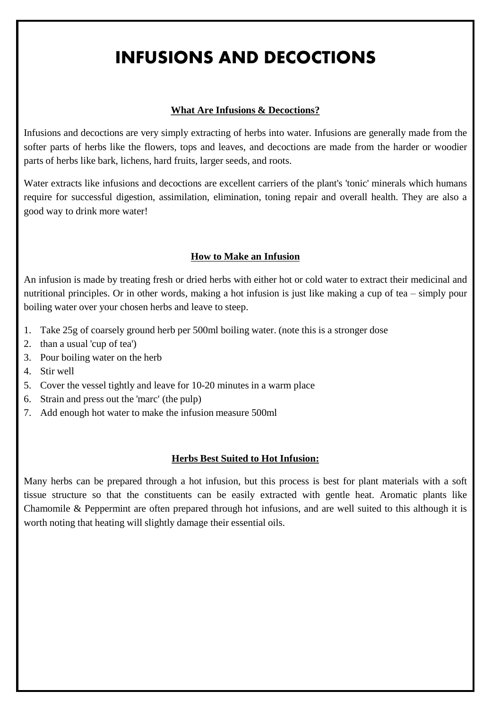# INFUSIONS AND DECOCTIONS

#### **What Are Infusions & Decoctions?**

Infusions and decoctions are very simply extracting of herbs into water. Infusions are generally made from the softer parts of herbs like the flowers, tops and leaves, and decoctions are made from the harder or woodier parts of herbs like bark, lichens, hard fruits, larger seeds, and roots.

Water extracts like infusions and decoctions are excellent carriers of the plant's 'tonic' minerals which humans require for successful digestion, assimilation, elimination, toning repair and overall health. They are also a good way to drink more water!

#### **How to Make an Infusion**

An infusion is made by treating fresh or dried herbs with either hot or cold water to extract their medicinal and nutritional principles. Or in other words, making a hot infusion is just like making a cup of tea – simply pour boiling water over your chosen herbs and leave to steep.

- 1. Take 25g of coarsely ground herb per 500ml boiling water. (note this is a stronger dose
- 2. than a usual 'cup of tea')
- 3. Pour boiling water on the herb
- 4. Stir well
- 5. Cover the vessel tightly and leave for 10-20 minutes in a warm place
- 6. Strain and press out the 'marc' (the pulp)
- 7. Add enough hot water to make the infusion measure 500ml

#### **Herbs Best Suited to Hot Infusion:**

Many herbs can be prepared through a hot infusion, but this process is best for plant materials with a soft tissue structure so that the constituents can be easily extracted with gentle heat. Aromatic plants like Chamomile & Peppermint are often prepared through hot infusions, and are well suited to this although it is worth noting that heating will slightly damage their essential oils.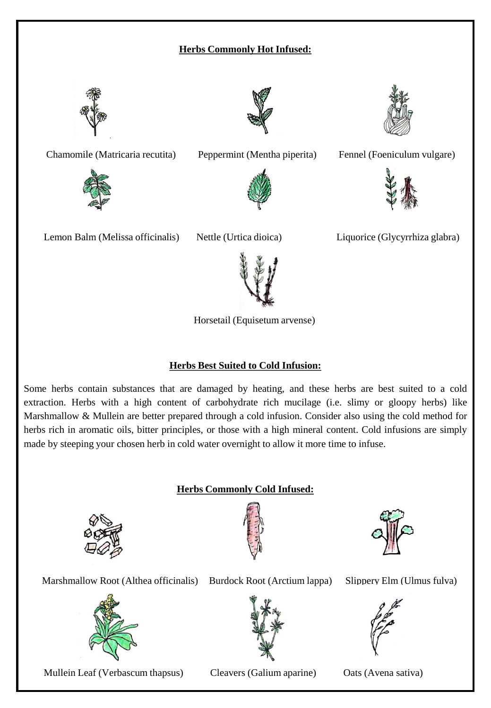## **Herbs Commonly Hot Infused:**



Chamomile (Matricaria recutita) Peppermint (Mentha piperita) Fennel (Foeniculum vulgare)







Lemon Balm (Melissa officinalis) Nettle (Urtica dioica) Liquorice (Glycyrrhiza glabra)





Horsetail (Equisetum arvense)

#### **Herbs Best Suited to Cold Infusion:**

Some herbs contain substances that are damaged by heating, and these herbs are best suited to a cold extraction. Herbs with a high content of carbohydrate rich mucilage (i.e. slimy or gloopy herbs) like Marshmallow & Mullein are better prepared through a cold infusion. Consider also using the cold method for herbs rich in aromatic oils, bitter principles, or those with a high mineral content. Cold infusions are simply made by steeping your chosen herb in cold water overnight to allow it more time to infuse.

#### **Herbs Commonly Cold Infused:**







Marshmallow Root (Althea officinalis) Burdock Root (Arctium lappa) Slippery Elm (Ulmus fulva)



Mullein Leaf (Verbascum thapsus) Cleavers (Galium aparine) Oats (Avena sativa)